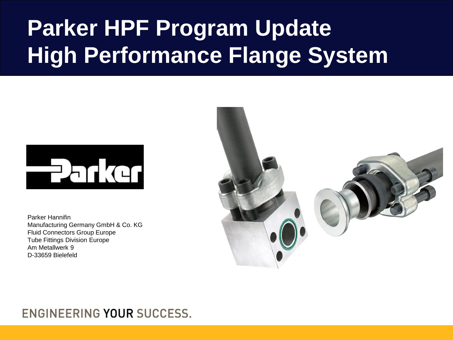# **Parker HPF Program Update High Performance Flange System**



Parker Hannifin Manufacturing Germany GmbH & Co. KG Fluid Connectors Group Europe Tube Fittings Division Europe Am Metallwerk 9 D-33659 Bielefeld



### ENGINEERING YOUR SUCCESS.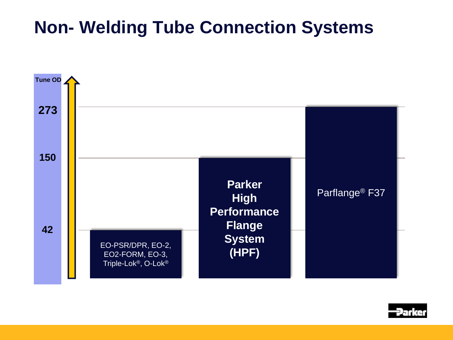## **Non- Welding Tube Connection Systems**



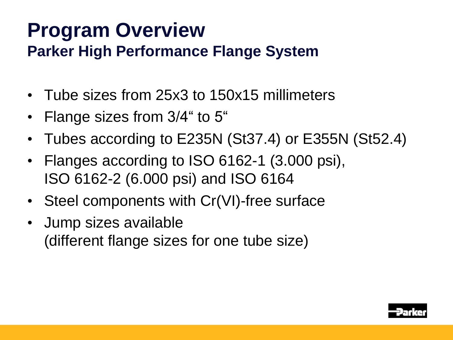## **Program Overview Parker High Performance Flange System**

- **•** Tube sizes from 25x3 to 150x15 millimeters
- **•** Flange sizes from 3/4" to 5"
- **•** Tubes according to E235N (St37.4) or E355N (St52.4)
- **•** Flanges according to ISO 6162-1 (3.000 psi), ISO 6162-2 (6.000 psi) and ISO 6164
- **•** Steel components with Cr(VI)-free surface
- **•** Jump sizes available (different flange sizes for one tube size)

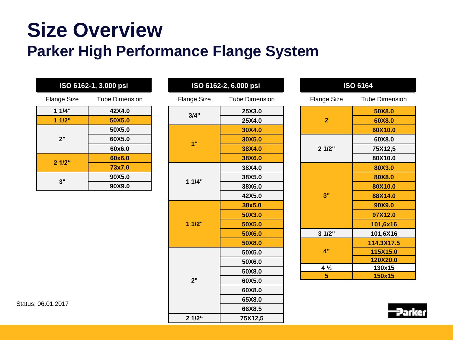# **Size Overview Parker High Performance Flange System**

| ISO 6162-1, 3.000 psi |                       |  |
|-----------------------|-----------------------|--|
| <b>Flange Size</b>    | <b>Tube Dimension</b> |  |
| 11/4"                 | 42X4.0                |  |
| 11/2"                 | 50X5.0                |  |
| 2"                    | 50X5.0                |  |
|                       | 60X5.0                |  |
|                       | 60x6.0                |  |
| $2.1/2$ "             | 60x6.0                |  |
|                       | 73x7.0                |  |
| 3"                    | 90X5.0                |  |
|                       | 90X9.0                |  |

| ັ<br>ш             | $-$ , $-$ , $-$ , $-$ , $-$ |  |
|--------------------|-----------------------------|--|
| <b>Flange Size</b> | <b>Tube Dimension</b>       |  |
| 3/4"               | 25X3.0                      |  |
|                    | 25X4.0                      |  |
| 1"                 | 30X4.0                      |  |
|                    | 30X5.0                      |  |
|                    | 38X4.0                      |  |
|                    | 38X6.0                      |  |
| 11/4"              | 38X4.0                      |  |
|                    | 38X5.0                      |  |
|                    | 38X6.0                      |  |
|                    | 42X5.0                      |  |
| 11/2"              | 38x5.0                      |  |
|                    | 50X3.0                      |  |
|                    | 50X5.0                      |  |
|                    | 50X6.0                      |  |
|                    | 50X8.0                      |  |
| 2"                 | 50X5.0                      |  |
|                    | 50X6.0                      |  |
|                    | 50X8.0                      |  |
|                    | 60X5.0                      |  |
|                    | 60X8.0                      |  |
|                    | 65X8.0                      |  |
|                    | 66X8.5                      |  |
| 2 1/2"             | 75X12,5                     |  |

**ISO 6162-2, 6.000 psi**

| <b>ISO 6164</b>    |                       |  |
|--------------------|-----------------------|--|
| <b>Flange Size</b> | <b>Tube Dimension</b> |  |
| $\overline{2}$     | 50X8.0                |  |
|                    | 60X8.0                |  |
|                    | 60X10.0               |  |
|                    | 60X8.0                |  |
| 21/2"              | 75X12,5               |  |
|                    | 80X10.0               |  |
|                    | 80X3.0                |  |
|                    | 80X8.0                |  |
|                    | 80X10.0               |  |
| 3"                 | 88X14.0               |  |
|                    | 90X9.0                |  |
|                    | 97X12.0               |  |
|                    | 101,6x16              |  |
| 31/2"              | 101,6X16              |  |
|                    | 114.3X17.5            |  |
| $\mathbf{A}$ "     | 115X15.0              |  |
|                    | 120X20.0              |  |
| $4\frac{1}{2}$     | 130x15                |  |
| 5                  | 150x15                |  |

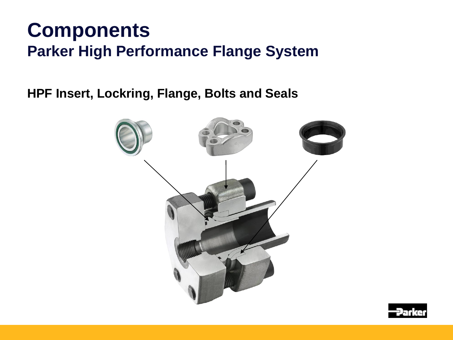## **Components Parker High Performance Flange System**

**HPF Insert, Lockring, Flange, Bolts and Seals**



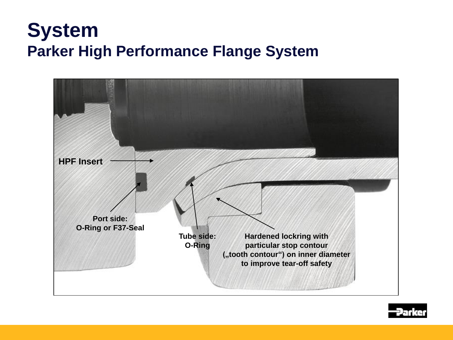## **System Parker High Performance Flange System**



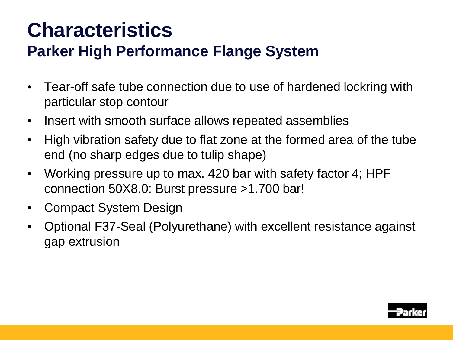# **Characteristics**

### **Parker High Performance Flange System**

- **•** Tear-off safe tube connection due to use of hardened lockring with particular stop contour
- **•** Insert with smooth surface allows repeated assemblies
- **•** High vibration safety due to flat zone at the formed area of the tube end (no sharp edges due to tulip shape)
- **•** Working pressure up to max. 420 bar with safety factor 4; HPF connection 50X8.0: Burst pressure >1.700 bar!
- **•** Compact System Design
- **•** Optional F37-Seal (Polyurethane) with excellent resistance against gap extrusion

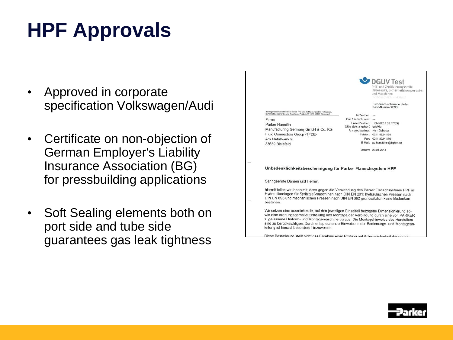# **HPF Approvals**

- **•** Approved in corporate specification Volkswagen/Audi
- **•** Certificate on non-objection of German Employer's Liability Insurance Association (BG) for pressbuilding applications
- **•** Soft Sealing elements both on port side and tube side guarantees gas leak tightness

|                                                                                                                                                                                                                                                                                   |                               | DGUV Test<br>Prüf- und Zertifizierungsstelle<br>Hebezeuge, Sicherheitskomponenten<br>und Maschinen<br>Fachberrich inite und Aletall |
|-----------------------------------------------------------------------------------------------------------------------------------------------------------------------------------------------------------------------------------------------------------------------------------|-------------------------------|-------------------------------------------------------------------------------------------------------------------------------------|
|                                                                                                                                                                                                                                                                                   |                               | Europäisch notifizierte Stelle<br>Kenn-Nummer 0393                                                                                  |
| Berufsgenossenschaft Holz und Metal, Prüf- und Zertfizierungsstelle Hebezeuge.<br>Sicharhaitskoreponenten und Maschinen, Postach 10 10 15, 40001 Düsseldorf                                                                                                                       | Ihr Zeichen: ---              |                                                                                                                                     |
| Firma                                                                                                                                                                                                                                                                             | Ihre Nachricht vom: --        |                                                                                                                                     |
| Parker Hannifin                                                                                                                                                                                                                                                                   | (bitte stets angeben) geb/kla | Unser Zeichen: HSM 612.1:62.17/039                                                                                                  |
| Manufacturing Germany GmbH & Co. KG                                                                                                                                                                                                                                               | Ansprechpartner: Herr Gebauer |                                                                                                                                     |
| Fluid Connectors Group -TFDE-                                                                                                                                                                                                                                                     |                               | Telefon: 0211 8224-824                                                                                                              |
| Am Metallwerk 9                                                                                                                                                                                                                                                                   |                               | Fax: 0211 8224-866                                                                                                                  |
| 33659 Bielefeld                                                                                                                                                                                                                                                                   |                               | E-Mail: pz-hsm.fbhm@bghm.de                                                                                                         |
|                                                                                                                                                                                                                                                                                   |                               | Datum: 29.01.2014                                                                                                                   |
| Unbedenklichkeitsbescheinigung für Parker Flanschsystem HPF                                                                                                                                                                                                                       |                               |                                                                                                                                     |
| Sehr geehrte Damen und Herren,                                                                                                                                                                                                                                                    |                               |                                                                                                                                     |
| hiermit teilen wir Ihnen mit, dass gegen die Verwendung des Parker Flanschsystems HPF in<br>Hydraulikanlagen für Spritzgießmaschinen nach DIN EN 201; hydraulischen Pressen nach<br>DIN EN 693 und mechanischen Pressen nach DIN EN 692 grundsätzlich keine Bedenken<br>bestehen. |                               |                                                                                                                                     |

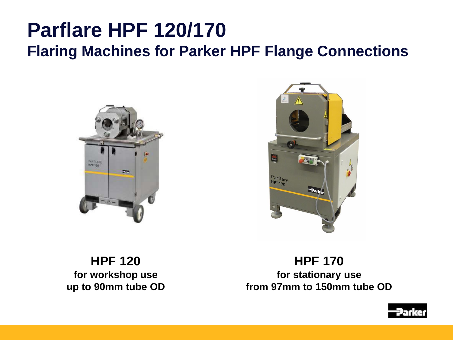# **Parflare HPF 120/170 Flaring Machines for Parker HPF Flange Connections**





**HPF 120 for workshop use up to 90mm tube OD**

**HPF 170 for stationary use from 97mm to 150mm tube OD**

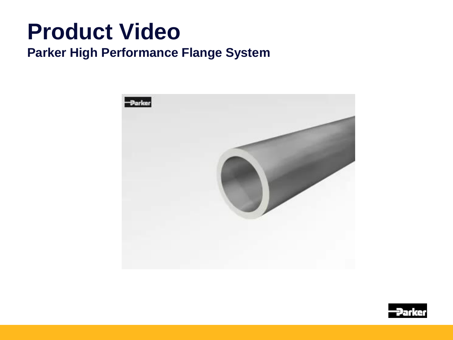# **Product Video**

### **Parker High Performance Flange System**